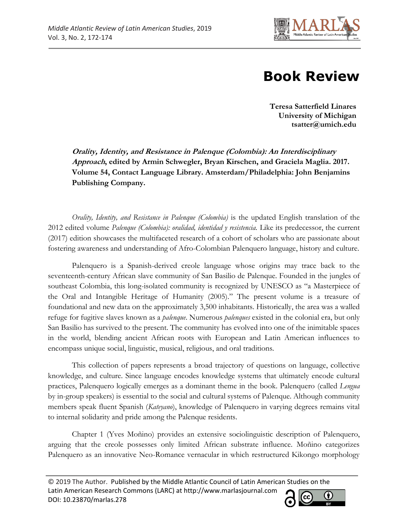

## **Book Review**

**Teresa Satterfield Linares University of Michigan tsatter@umich.edu**

**Orality, Identity, and Resistance in Palenque (Colombia): An Interdisciplinary Approach, edited by Armin Schwegler, Bryan Kirschen, and Graciela Maglia. 2017. Volume 54, Contact Language Library. Amsterdam/Philadelphia: John Benjamins Publishing Company.** 

*Orality, Identity, and Resistance in Palenque (Colombia)* is the updated English translation of the 2012 edited volume *Palenque (Colombia): oralidad, identidad y resistencia*. Like its predecessor, the current (2017) edition showcases the multifaceted research of a cohort of scholars who are passionate about fostering awareness and understanding of Afro-Colombian Palenquero language, history and culture.

Palenquero is a Spanish-derived creole language whose origins may trace back to the seventeenth-century African slave community of San Basilio de Palenque. Founded in the jungles of southeast Colombia, this long-isolated community is recognized by UNESCO as "a Masterpiece of the Oral and Intangible Heritage of Humanity (2005)." The present volume is a treasure of foundational and new data on the approximately 3,500 inhabitants. Historically, the area was a walled refuge for fugitive slaves known as a *palenque*. Numerous *palenques* existed in the colonial era, but only San Basilio has survived to the present. The community has evolved into one of the inimitable spaces in the world, blending ancient African roots with European and Latin American influences to encompass unique social, linguistic, musical, religious, and oral traditions.

This collection of papers represents a broad trajectory of questions on language, collective knowledge, and culture. Since language encodes knowledge systems that ultimately encode cultural practices, Palenquero logically emerges as a dominant theme in the book. Palenquero (called *Lengua*  by in-group speakers) is essential to the social and cultural systems of Palenque. Although community members speak fluent Spanish (*Kateyano*), knowledge of Palenquero in varying degrees remains vital to internal solidarity and pride among the Palenque residents.

Chapter 1 (Yves Moñino) provides an extensive sociolinguistic description of Palenquero, arguing that the creole possesses only limited African substrate influence. Moñino categorizes Palenquero as an innovative Neo-Romance vernacular in which restructured Kikongo morphology

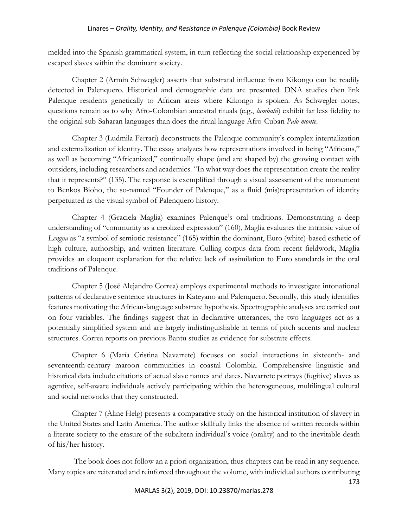## Linares – *Orality, Identity, and Resistance in Palenque (Colombia)* Book Review

melded into the Spanish grammatical system, in turn reflecting the social relationship experienced by escaped slaves within the dominant society.

Chapter 2 (Armin Schwegler) asserts that substratal influence from Kikongo can be readily detected in Palenquero*.* Historical and demographic data are presented. DNA studies then link Palenque residents genetically to African areas where Kikongo is spoken. As Schwegler notes, questions remain as to why Afro-Colombian ancestral rituals (e.g., *lumbalú*) exhibit far less fidelity to the original sub-Saharan languages than does the ritual language Afro-Cuban *Palo monte*.

Chapter 3 (Ludmila Ferrari) deconstructs the Palenque community's complex internalization and externalization of identity. The essay analyzes how representations involved in being "Africans," as well as becoming "Africanized," continually shape (and are shaped by) the growing contact with outsiders, including researchers and academics. "In what way does the representation create the reality that it represents?" (135). The response is exemplified through a visual assessment of the monument to Benkos Bioho, the so-named "Founder of Palenque," as a fluid (mis)representation of identity perpetuated as the visual symbol of Palenquero history.

Chapter 4 (Graciela Maglia) examines Palenque's oral traditions. Demonstrating a deep understanding of "community as a creolized expression" (160), Maglia evaluates the intrinsic value of *Lengua* as "a symbol of semiotic resistance" (165) within the dominant, Euro (white)-based esthetic of high culture, authorship, and written literature. Culling corpus data from recent fieldwork, Maglia provides an eloquent explanation for the relative lack of assimilation to Euro standards in the oral traditions of Palenque.

Chapter 5 (José Alejandro Correa) employs experimental methods to investigate intonational patterns of declarative sentence structures in Kateyano and Palenquero. Secondly, this study identifies features motivating the African-language substrate hypothesis. Spectrographic analyses are carried out on four variables. The findings suggest that in declarative utterances, the two languages act as a potentially simplified system and are largely indistinguishable in terms of pitch accents and nuclear structures. Correa reports on previous Bantu studies as evidence for substrate effects.

Chapter 6 (María Cristina Navarrete) focuses on social interactions in sixteenth- and seventeenth-century maroon communities in coastal Colombia. Comprehensive linguistic and historical data include citations of actual slave names and dates. Navarrete portrays (fugitive) slaves as agentive, self-aware individuals actively participating within the heterogeneous, multilingual cultural and social networks that they constructed.

Chapter 7 (Aline Helg) presents a comparative study on the historical institution of slavery in the United States and Latin America. The author skillfully links the absence of written records within a literate society to the erasure of the subaltern individual's voice (orality) and to the inevitable death of his/her history.

The book does not follow an a priori organization, thus chapters can be read in any sequence. Many topics are reiterated and reinforced throughout the volume, with individual authors contributing